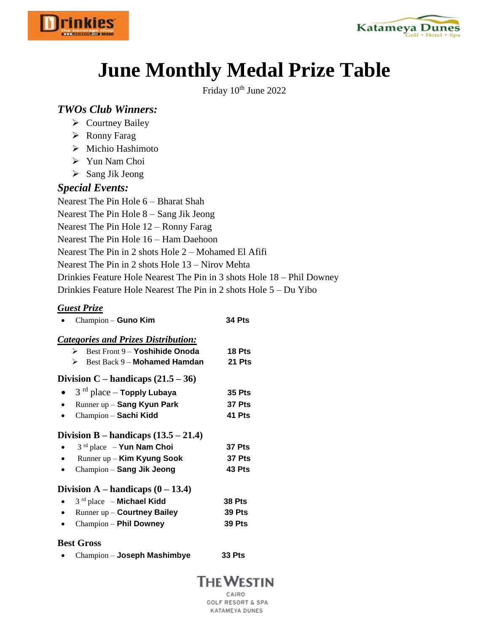



# **June Monthly Medal Prize Table**

Friday 10<sup>th</sup> June 2022

## *TWOs Club Winners:*

- $\triangleright$  Courtney Bailey
- Ronny Farag
- Michio Hashimoto
- Yun Nam Choi
- > Sang Jik Jeong

## *Special Events:*

Nearest The Pin Hole 6 – Bharat Shah Nearest The Pin Hole 8 – Sang Jik Jeong Nearest The Pin Hole 12 – Ronny Farag Nearest The Pin Hole 16 – Ham Daehoon Nearest The Pin in 2 shots Hole 2 – Mohamed El Afifi Nearest The Pin in 2 shots Hole 13 – Nirov Mehta Drinkies Feature Hole Nearest The Pin in 3 shots Hole 18 – Phil Downey Drinkies Feature Hole Nearest The Pin in 2 shots Hole 5 – Du Yibo

## *Guest Prize*

| Champion - Guno Kim | <b>34 Pts</b> |
|---------------------|---------------|
|                     |               |

## *Categories and Prizes Distribution:*

| Best Front 9 - Yoshihide Onoda<br>⋗                                                                                             | 18 Pts                     |
|---------------------------------------------------------------------------------------------------------------------------------|----------------------------|
| Best Back 9 - Mohamed Hamdan<br>⋗                                                                                               | <b>21 Pts</b>              |
| Division C – handicaps $(21.5 – 36)$                                                                                            |                            |
| $3rd$ place – Topply Lubaya                                                                                                     | <b>35 Pts</b>              |
| Runner up - Sang Kyun Park                                                                                                      | 37 Pts                     |
| Champion - Sachi Kidd                                                                                                           | 41 Pts                     |
| Division B – handicaps $(13.5 – 21.4)$<br>$3rd$ place – Yun Nam Choi<br>Runner up - Kim Kyung Sook<br>Champion - Sang Jik Jeong | 37 Pts<br>37 Pts<br>43 Pts |

#### **Division A** – **handicaps**  $(0 - 13.4)$

 3 rd place – **Michael Kidd 38 Pts**  Runner up – **Courtney Bailey 39 Pts**  Champion – **Phil Downey 39 Pts** 

#### **Best Gross**

Champion – **Joseph Mashimbye 33 Pts** 

## **THE WESTIN**

CAIRO **GOLF RESORT & SPA** KATAMEYA DUNES